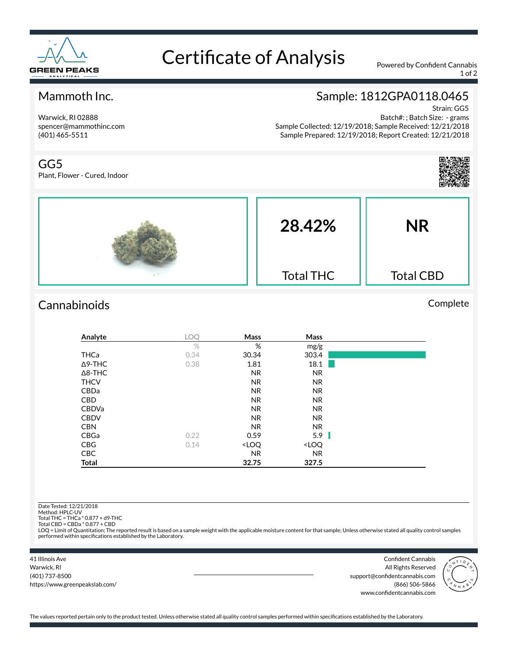

# Certificate of Analysis Powered by Confident Cannabis

1 of 2

### Mammoth Inc.

Warwick, RI 02888 spencer@mammothinc.com (401) 465-5511

## Sample: 1812GPA0118.0465

Strain: GG5 Batch#: ; Batch Size: - grams Sample Collected: 12/19/2018; Sample Received: 12/21/2018 Sample Prepared: 12/19/2018; Report Created: 12/21/2018



GG5 Plant, Flower - Cured, Indoor



## Cannabinoids Complete

| Analyte        | LOQ  | Mass                                                     | Mass                         |  |
|----------------|------|----------------------------------------------------------|------------------------------|--|
|                | $\%$ | %                                                        | mg/g                         |  |
| <b>THCa</b>    | 0.34 | 30.34                                                    | 303.4                        |  |
| $\Delta$ 9-THC | 0.38 | 1.81                                                     | 18.1                         |  |
| $\Delta$ 8-THC |      | <b>NR</b>                                                | <b>NR</b>                    |  |
| <b>THCV</b>    |      | <b>NR</b>                                                | <b>NR</b>                    |  |
| CBDa           |      | <b>NR</b>                                                | N <sub>R</sub>               |  |
| <b>CBD</b>     |      | <b>NR</b>                                                | <b>NR</b>                    |  |
| <b>CBDVa</b>   |      | <b>NR</b>                                                | N <sub>R</sub>               |  |
| <b>CBDV</b>    |      | <b>NR</b>                                                | <b>NR</b>                    |  |
| <b>CBN</b>     |      | <b>NR</b>                                                | <b>NR</b>                    |  |
| CBGa           | 0.22 | 0.59                                                     | 5.9                          |  |
| <b>CBG</b>     | 0.14 | <loq< td=""><td><loq< td=""><td></td></loq<></td></loq<> | <loq< td=""><td></td></loq<> |  |
| <b>CBC</b>     |      | <b>NR</b>                                                | <b>NR</b>                    |  |
| <b>Total</b>   |      | 32.75                                                    | 327.5                        |  |

Date Tested: 12/21/2018

Method: HPLC-UV Total THC = THCa \* 0.877 + d9-THC Total CBD = CBDa \* 0.877 + CBD

LOQ = Limit of Quantitation; The reported result is based on a sample weight with the applicable moisture content for that sample; Unless otherwise stated all quality control samples performed within specifications established by the Laboratory.

41 Illinois Ave Warwick, RI (401) 737-8500 https://www.greenpeakslab.com/

Confident Cannabis All Rights Reserved support@confidentcannabis.com (866) 506-5866 www.confidentcannabis.com



The values reported pertain only to the product tested. Unless otherwise stated all quality control samples performed within specifications established by the Laboratory.